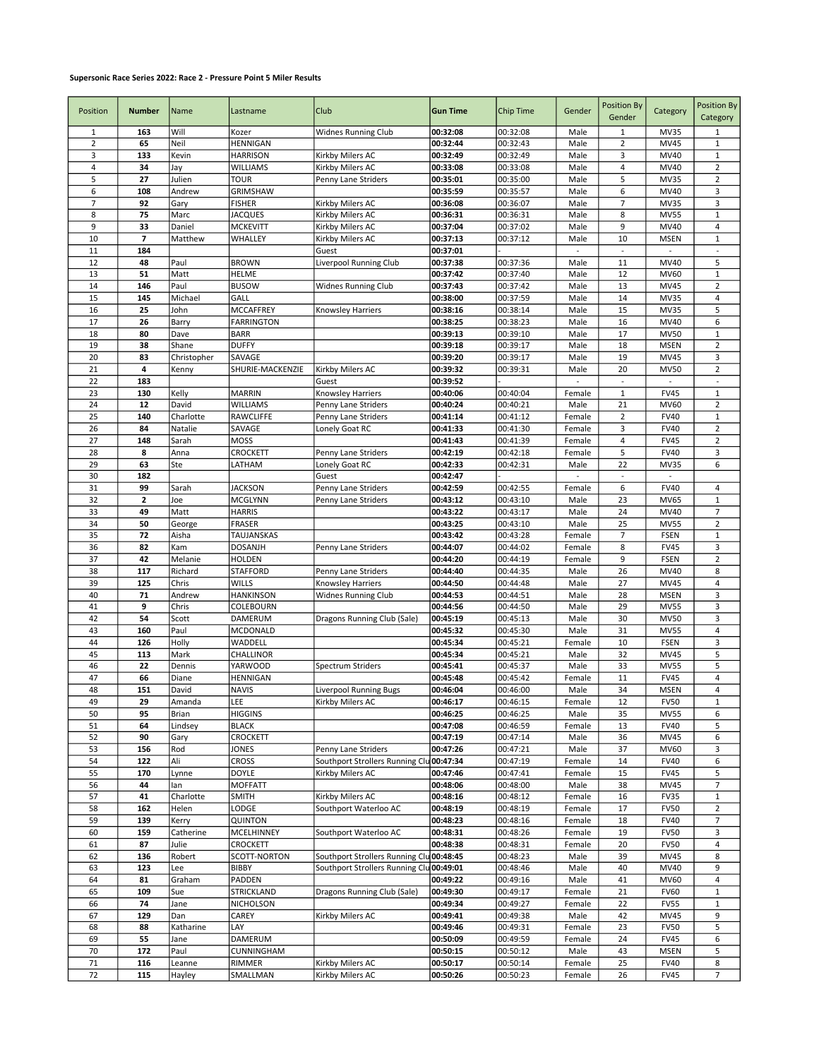## Supersonic Race Series 2022: Race 2 - Pressure Point 5 Miler Results

| Position       | <b>Number</b>     | Name           | Lastname                         | Club                                                                                 | <b>Gun Time</b>      | Chip Time            | Gender         | <b>Position By</b><br>Gender | Category                   | <b>Position By</b><br>Category |
|----------------|-------------------|----------------|----------------------------------|--------------------------------------------------------------------------------------|----------------------|----------------------|----------------|------------------------------|----------------------------|--------------------------------|
| 1              | 163               | Will           | Kozer                            | Widnes Running Club                                                                  | 00:32:08             | 00:32:08             | Male           | $\mathbf 1$                  | <b>MV35</b>                | $1\,$                          |
| $\overline{2}$ | 65                | Neil           | HENNIGAN                         |                                                                                      | 00:32:44             | 00:32:43             | Male           | $\overline{2}$               | <b>MV45</b>                | $\mathbf 1$                    |
| 3              | 133               | Kevin          | <b>HARRISON</b>                  | Kirkby Milers AC                                                                     | 00:32:49             | 00:32:49             | Male           | 3                            | MV40                       | $\mathbf 1$                    |
| 4              | 34                | Jay            | <b>WILLIAMS</b>                  | Kirkby Milers AC                                                                     | 00:33:08             | 00:33:08             | Male           | 4                            | MV40                       | $\mathbf 2$                    |
| 5              | 27                | Julien         | TOUR                             | Penny Lane Striders                                                                  | 00:35:01             | 00:35:00             | Male           | 5                            | MV35                       | $\mathbf 2$                    |
| 6              | 108               | Andrew         | GRIMSHAW                         |                                                                                      | 00:35:59             | 00:35:57             | Male           | 6                            | MV40                       | 3                              |
| 7              | 92                | Gary           | <b>FISHER</b>                    | Kirkby Milers AC                                                                     | 00:36:08             | 00:36:07             | Male           | $\overline{7}$               | <b>MV35</b>                | 3                              |
| 8              | 75                | Marc           | <b>JACQUES</b>                   | Kirkby Milers AC                                                                     | 00:36:31             | 00:36:31             | Male           | 8                            | <b>MV55</b>                | $\mathbf 1$                    |
| 9              | 33                | Daniel         | <b>MCKEVITT</b>                  | Kirkby Milers AC                                                                     | 00:37:04             | 00:37:02             | Male           | 9                            | MV40                       | $\sqrt{4}$                     |
| 10             | 7                 | Matthew        | WHALLEY                          | Kirkby Milers AC                                                                     | 00:37:13             | 00:37:12             | Male           | 10                           | <b>MSEN</b>                | $1\,$                          |
| 11             | 184               | Paul           |                                  | Guest                                                                                | 00:37:01             |                      | $\blacksquare$ | $\overline{\phantom{a}}$     | $\blacksquare$             | $\blacksquare$<br>5            |
| 12<br>13       | 48<br>51          | Matt           | <b>BROWN</b><br><b>HELME</b>     | Liverpool Running Club                                                               | 00:37:38<br>00:37:42 | 00:37:36<br>00:37:40 | Male<br>Male   | 11<br>12                     | MV40<br><b>MV60</b>        | $1\,$                          |
| 14             | 146               | Paul           | <b>BUSOW</b>                     | Widnes Running Club                                                                  | 00:37:43             | 00:37:42             | Male           | 13                           | <b>MV45</b>                | $\overline{2}$                 |
| 15             | 145               | Michael        | GALL                             |                                                                                      | 00:38:00             | 00:37:59             | Male           | 14                           | <b>MV35</b>                | $\sqrt{4}$                     |
| 16             | 25                | John           | MCCAFFREY                        | Knowsley Harriers                                                                    | 00:38:16             | 00:38:14             | Male           | 15                           | <b>MV35</b>                | 5                              |
| 17             | 26                | Barry          | <b>FARRINGTON</b>                |                                                                                      | 00:38:25             | 00:38:23             | Male           | 16                           | MV40                       | 6                              |
| 18             | 80                | Dave           | <b>BARR</b>                      |                                                                                      | 00:39:13             | 00:39:10             | Male           | 17                           | <b>MV50</b>                | $\mathbf 1$                    |
| 19             | 38                | Shane          | <b>DUFFY</b>                     |                                                                                      | 00:39:18             | 00:39:17             | Male           | 18                           | <b>MSEN</b>                | $\overline{2}$                 |
| 20             | 83                | Christopher    | SAVAGE                           |                                                                                      | 00:39:20             | 00:39:17             | Male           | 19                           | <b>MV45</b>                | 3                              |
| 21             | 4                 | Kenny          | SHURIE-MACKENZIE                 | Kirkby Milers AC                                                                     | 00:39:32             | 00:39:31             | Male           | 20                           | <b>MV50</b>                | $\mathbf 2$                    |
| 22             | 183               |                |                                  | Guest                                                                                | 00:39:52             |                      |                |                              |                            | $\overline{\phantom{a}}$       |
| 23             | 130               | Kelly          | <b>MARRIN</b>                    | Knowsley Harriers                                                                    | 00:40:06             | 00:40:04             | Female         | $\mathbf 1$                  | <b>FV45</b>                | $\mathbf{1}$                   |
| 24             | 12                | David          | WILLIAMS                         | Penny Lane Striders                                                                  | 00:40:24             | 00:40:21             | Male           | 21                           | <b>MV60</b>                | $\overline{2}$                 |
| 25             | 140               | Charlotte      | RAWCLIFFE                        | Penny Lane Striders                                                                  | 00:41:14             | 00:41:12             | Female         | $\overline{\mathbf{c}}$      | <b>FV40</b>                | $\mathbf{1}$                   |
| 26             | 84                | Natalie        | SAVAGE                           | Lonely Goat RC                                                                       | 00:41:33             | 00:41:30             | Female         | 3                            | <b>FV40</b>                | $\overline{2}$                 |
| 27             | 148               | Sarah          | <b>MOSS</b>                      |                                                                                      | 00:41:43             | 00:41:39             | Female         | 4                            | <b>FV45</b>                | $\mathbf 2$                    |
| 28             | 8                 | Anna           | CROCKETT                         | Penny Lane Striders                                                                  | 00:42:19             | 00:42:18             | Female         | 5                            | <b>FV40</b>                | 3                              |
| 29             | 63                | Ste            | LATHAM                           | Lonely Goat RC                                                                       | 00:42:33             | 00:42:31             | Male           | 22                           | <b>MV35</b>                | 6                              |
| 30             | 182               |                |                                  | Guest                                                                                | 00:42:47             |                      |                |                              |                            |                                |
| 31<br>32       | 99<br>$\mathbf 2$ | Sarah<br>Joe   | <b>JACKSON</b><br><b>MCGLYNN</b> | Penny Lane Striders<br>Penny Lane Striders                                           | 00:42:59<br>00:43:12 | 00:42:55<br>00:43:10 | Female<br>Male | 6<br>23                      | <b>FV40</b><br><b>MV65</b> | 4<br>$\mathbf 1$               |
| 33             | 49                | Matt           | <b>HARRIS</b>                    |                                                                                      | 00:43:22             | 00:43:17             | Male           | 24                           | MV40                       | $\overline{7}$                 |
| 34             | 50                | George         | <b>FRASER</b>                    |                                                                                      | 00:43:25             | 00:43:10             | Male           | 25                           | <b>MV55</b>                | $\overline{2}$                 |
| 35             | 72                | Aisha          | TAUJANSKAS                       |                                                                                      | 00:43:42             | 00:43:28             | Female         | $\overline{7}$               | <b>FSEN</b>                | $\mathbf 1$                    |
| 36             | 82                | Kam            | <b>DOSANJH</b>                   | Penny Lane Striders                                                                  | 00:44:07             | 00:44:02             | Female         | 8                            | <b>FV45</b>                | 3                              |
| 37             | 42                | Melanie        | HOLDEN                           |                                                                                      | 00:44:20             | 00:44:19             | Female         | 9                            | <b>FSEN</b>                | $\mathbf 2$                    |
| 38             | 117               | Richard        | STAFFORD                         | Penny Lane Striders                                                                  | 00:44:40             | 00:44:35             | Male           | 26                           | MV40                       | 8                              |
| 39             | 125               | Chris          | WILLS                            | Knowsley Harriers                                                                    | 00:44:50             | 00:44:48             | Male           | 27                           | MV45                       | $\sqrt{4}$                     |
| 40             | 71                | Andrew         | <b>HANKINSON</b>                 | Widnes Running Club                                                                  | 00:44:53             | 00:44:51             | Male           | 28                           | <b>MSEN</b>                | 3                              |
| 41             | 9                 | Chris          | COLEBOURN                        |                                                                                      | 00:44:56             | 00:44:50             | Male           | 29                           | <b>MV55</b>                | 3                              |
| 42             | 54                | Scott          | DAMERUM                          | Dragons Running Club (Sale)                                                          | 00:45:19             | 00:45:13             | Male           | 30                           | <b>MV50</b>                | 3                              |
| 43             | 160               | Paul           | MCDONALD                         |                                                                                      | 00:45:32             | 00:45:30             | Male           | 31                           | <b>MV55</b>                | 4                              |
| 44             | 126               | Holly          | WADDELL                          |                                                                                      | 00:45:34             | 00:45:21             | Female         | 10                           | <b>FSEN</b>                | 3                              |
| 45             | 113               | Mark           | CHALLINOR                        |                                                                                      | 00:45:34             | 00:45:21             | Male           | 32                           | <b>MV45</b>                | 5                              |
| 46             | 22                | Dennis         | YARWOOD                          | Spectrum Striders                                                                    | 00:45:41             | 00:45:37             | Male           | 33                           | <b>MV55</b>                | 5                              |
| 47<br>48       | 66<br>151         | Diane<br>David | HENNIGAN<br><b>NAVIS</b>         |                                                                                      | 00:45:48<br>00:46:04 | 00:45:42<br>00:46:00 | Female<br>Male | 11<br>34                     | <b>FV45</b><br><b>MSEN</b> | 4<br>$\overline{4}$            |
| 49             | 29                | Amanda         | LEE                              | Liverpool Running Bugs<br>Kirkby Milers AC                                           | 00:46:17             | 00:46:15             | Female         | 12                           | <b>FV50</b>                | $1\,$                          |
| 50             | 95                | Brian          | <b>HIGGINS</b>                   |                                                                                      | 00:46:25             | 00:46:25             | Male           | 35                           | <b>MV55</b>                | 6                              |
| 51             | 64                | Lindsey        | <b>BLACK</b>                     |                                                                                      | 00:47:08             | 00:46:59             | Female         | 13                           | <b>FV40</b>                | 5                              |
| 52             | 90                | Gary           | CROCKETT                         |                                                                                      | 00:47:19             | 00:47:14             | Male           | 36                           | MV45                       | 6                              |
| 53             | 156               | Rod            | <b>JONES</b>                     | Penny Lane Striders                                                                  | 00:47:26             | 00:47:21             | Male           | 37                           | MV60                       | 3                              |
| 54             | 122               | Ali            | CROSS                            | Southport Strollers Running Clu                                                      | 00:47:34             | 00:47:19             | Female         | 14                           | <b>FV40</b>                | 6                              |
| 55             | 170               | Lynne          | <b>DOYLE</b>                     | Kirkby Milers AC                                                                     | 00:47:46             | 00:47:41             | Female         | 15                           | <b>FV45</b>                | 5                              |
| 56             | 44                | lan            | <b>MOFFATT</b>                   |                                                                                      | 00:48:06             | 00:48:00             | Male           | 38                           | MV45                       | $\boldsymbol{7}$               |
| 57             | 41                | Charlotte      | <b>SMITH</b>                     | Kirkby Milers AC                                                                     | 00:48:16             | 00:48:12             | Female         | 16                           | <b>FV35</b>                | $1\,$                          |
| 58             | 162               | Helen          | LODGE                            | Southport Waterloo AC                                                                | 00:48:19             | 00:48:19             | Female         | 17                           | <b>FV50</b>                | $\overline{2}$                 |
| 59             | 139               | Kerry          | QUINTON                          |                                                                                      | 00:48:23             | 00:48:16             | Female         | 18                           | <b>FV40</b>                | $\overline{7}$                 |
| 60             | 159               | Catherine      | MCELHINNEY                       | Southport Waterloo AC                                                                | 00:48:31             | 00:48:26             | Female         | 19                           | <b>FV50</b>                | 3                              |
| 61             | 87                | Julie          | CROCKETT                         |                                                                                      | 00:48:38             | 00:48:31             | Female         | 20                           | <b>FV50</b>                | 4                              |
| 62<br>63       | 136<br>123        | Robert<br>Lee  | SCOTT-NORTON<br>BIBBY            | Southport Strollers Running Clu 00:48:45<br>Southport Strollers Running Clu 00:49:01 |                      | 00:48:23<br>00:48:46 | Male<br>Male   | 39<br>40                     | MV45<br>MV40               | 8<br>9                         |
| 64             | 81                | Graham         | PADDEN                           |                                                                                      | 00:49:22             | 00:49:16             | Male           | 41                           | MV60                       | $\overline{\mathbf{4}}$        |
| 65             | 109               | Sue            | STRICKLAND                       | Dragons Running Club (Sale)                                                          | 00:49:30             | 00:49:17             | Female         | 21                           | <b>FV60</b>                | $\mathbf 1$                    |
| 66             | 74                | Jane           | NICHOLSON                        |                                                                                      | 00:49:34             | 00:49:27             | Female         | 22                           | <b>FV55</b>                | $\mathbf 1$                    |
| 67             | 129               | Dan            | CAREY                            | Kirkby Milers AC                                                                     | 00:49:41             | 00:49:38             | Male           | 42                           | MV45                       | 9                              |
| 68             | 88                | Katharine      | LAY                              |                                                                                      | 00:49:46             | 00:49:31             | Female         | 23                           | <b>FV50</b>                | 5                              |
| 69             | 55                | Jane           | DAMERUM                          |                                                                                      | 00:50:09             | 00:49:59             | Female         | 24                           | <b>FV45</b>                | 6                              |
| 70             | 172               | Paul           | CUNNINGHAM                       |                                                                                      | 00:50:15             | 00:50:12             | Male           | 43                           | <b>MSEN</b>                | 5                              |
| 71             | 116               | Leanne         | RIMMER                           | Kirkby Milers AC                                                                     | 00:50:17             | 00:50:14             | Female         | 25                           | <b>FV40</b>                | 8                              |
| 72             | 115               | Hayley         | SMALLMAN                         | Kirkby Milers AC                                                                     | 00:50:26             | 00:50:23             | Female         | 26                           | <b>FV45</b>                | $\overline{7}$                 |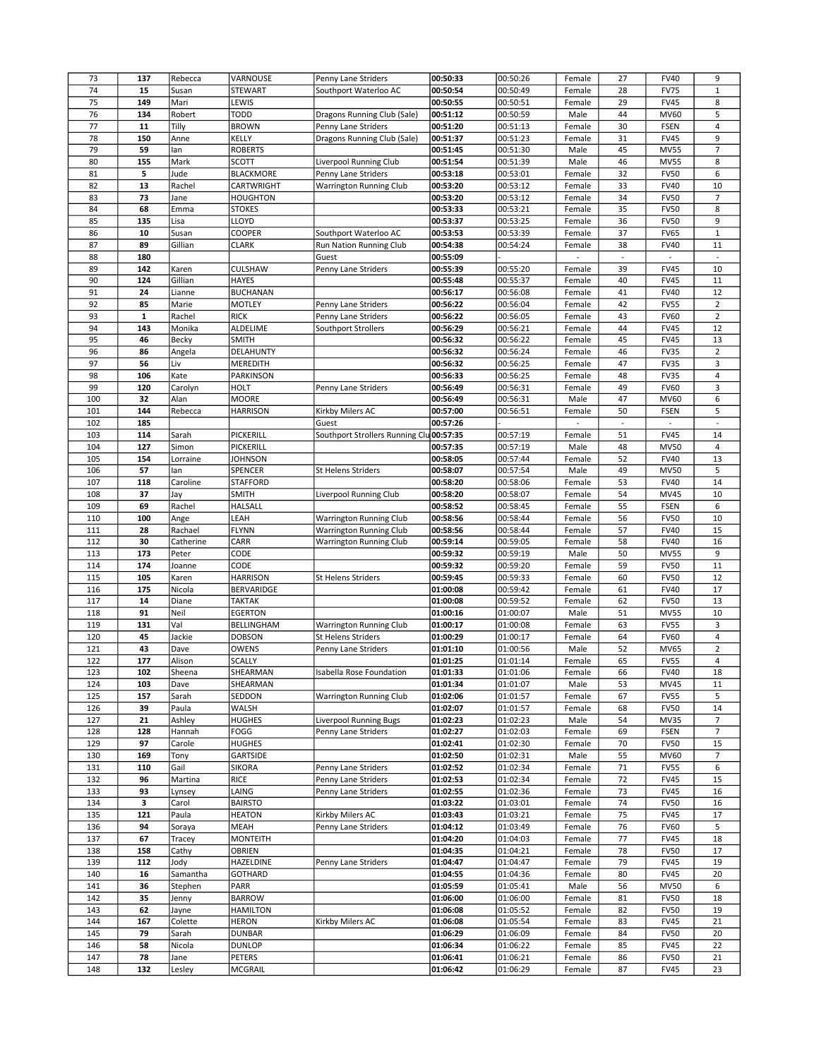| 73         | 137         | Rebecca        | VARNOUSE          | Penny Lane Striders             | 00:50:33             | 00:50:26             | Female           | 27       | <b>FV40</b>                | 9                        |
|------------|-------------|----------------|-------------------|---------------------------------|----------------------|----------------------|------------------|----------|----------------------------|--------------------------|
| 74         | 15          | Susan          | STEWART           | Southport Waterloo AC           | 00:50:54             | 00:50:49             | Female           | 28       | <b>FV75</b>                | $\mathbf 1$              |
| 75         | 149         | Mari           | LEWIS             |                                 | 00:50:55             | 00:50:51             | Female           | 29       | <b>FV45</b>                | 8                        |
| 76         | 134         | Robert         | <b>TODD</b>       |                                 | 00:51:12             |                      |                  | 44       | <b>MV60</b>                | 5                        |
|            |             |                |                   | Dragons Running Club (Sale)     |                      | 00:50:59             | Male             |          |                            |                          |
| 77         | 11          | Tilly          | <b>BROWN</b>      | Penny Lane Striders             | 00:51:20             | 00:51:13             | Female           | 30       | <b>FSEN</b>                | 4                        |
| 78         | 150         | Anne           | KELLY             | Dragons Running Club (Sale)     | 00:51:37             | 00:51:23             | Female           | 31       | <b>FV45</b>                | 9                        |
| 79         | 59          | lan            | <b>ROBERTS</b>    |                                 | 00:51:45             | 00:51:30             | Male             | 45       | <b>MV55</b>                | $\overline{7}$           |
| 80         | 155         | Mark           | <b>SCOTT</b>      | Liverpool Running Club          | 00:51:54             | 00:51:39             | Male             | 46       | <b>MV55</b>                | 8                        |
| 81         | 5           | Jude           | <b>BLACKMORE</b>  | Penny Lane Striders             | 00:53:18             | 00:53:01             | Female           | 32       | <b>FV50</b>                | 6                        |
| 82         | 13          | Rachel         | CARTWRIGHT        | <b>Warrington Running Club</b>  | 00:53:20             | 00:53:12             | Female           | 33       | <b>FV40</b>                | 10                       |
| 83         | 73          | Jane           | <b>HOUGHTON</b>   |                                 | 00:53:20             | 00:53:12             | Female           | 34       | <b>FV50</b>                | $\overline{7}$           |
| 84         | 68          | Emma           | <b>STOKES</b>     |                                 | 00:53:33             | 00:53:21             | Female           | 35       | <b>FV50</b>                | 8                        |
| 85         | 135         | Lisa           | LLOYD             |                                 | 00:53:37             | 00:53:25             | Female           | 36       | <b>FV50</b>                | 9                        |
|            |             |                |                   |                                 |                      |                      |                  |          |                            |                          |
| 86         | 10          | Susan          | COOPER            | Southport Waterloo AC           | 00:53:53             | 00:53:39             | Female           | 37       | <b>FV65</b>                | $\mathbf 1$              |
| 87         | 89          | Gillian        | <b>CLARK</b>      | Run Nation Running Club         | 00:54:38             | 00:54:24             | Female           | 38       | <b>FV40</b>                | 11                       |
| 88         | 180         |                |                   | Guest                           | 00:55:09             |                      |                  |          | $\overline{\phantom{a}}$   | $\overline{\phantom{a}}$ |
| 89         | 142         | Karen          | CULSHAW           | Penny Lane Striders             | 00:55:39             | 00:55:20             | Female           | 39       | <b>FV45</b>                | 10                       |
| 90         | 124         | Gillian        | <b>HAYES</b>      |                                 | 00:55:48             | 00:55:37             | Female           | 40       | <b>FV45</b>                | 11                       |
| 91         | 24          | Lianne         | <b>BUCHANAN</b>   |                                 | 00:56:17             | 00:56:08             | Female           | 41       | <b>FV40</b>                | 12                       |
| 92         | 85          | Marie          | <b>MOTLEY</b>     | Penny Lane Striders             | 00:56:22             | 00:56:04             | Female           | 42       | <b>FV55</b>                | $\overline{2}$           |
| 93         | $\mathbf 1$ | Rachel         | <b>RICK</b>       | Penny Lane Striders             | 00:56:22             | 00:56:05             | Female           | 43       | <b>FV60</b>                | $\overline{2}$           |
|            |             |                |                   |                                 |                      |                      |                  |          |                            |                          |
| 94         | 143         | Monika         | ALDELIME          | Southport Strollers             | 00:56:29             | 00:56:21             | Female           | 44       | <b>FV45</b>                | 12                       |
| 95         | 46          | Becky          | <b>SMITH</b>      |                                 | 00:56:32             | 00:56:22             | Female           | 45       | <b>FV45</b>                | 13                       |
| 96         | 86          | Angela         | DELAHUNTY         |                                 | 00:56:32             | 00:56:24             | Female           | 46       | <b>FV35</b>                | $\overline{2}$           |
| 97         | 56          | Liv            | MEREDITH          |                                 | 00:56:32             | 00:56:25             | Female           | 47       | <b>FV35</b>                | 3                        |
| 98         | 106         | Kate           | PARKINSON         |                                 | 00:56:33             | 00:56:25             | Female           | 48       | <b>FV35</b>                | 4                        |
| 99         | 120         | Carolyn        | HOLT              | Penny Lane Striders             | 00:56:49             | 00:56:31             | Female           | 49       | <b>FV60</b>                | 3                        |
| 100        | 32          | Alan           | <b>MOORE</b>      |                                 | 00:56:49             | 00:56:31             | Male             | 47       | <b>MV60</b>                | 6                        |
| 101        | 144         | Rebecca        | <b>HARRISON</b>   | Kirkby Milers AC                | 00:57:00             | 00:56:51             | Female           | 50       | <b>FSEN</b>                | 5                        |
| 102        | 185         |                |                   | Guest                           | 00:57:26             |                      |                  |          |                            | $\overline{\phantom{a}}$ |
|            |             |                |                   |                                 |                      |                      |                  |          |                            |                          |
| 103        | 114         | Sarah          | PICKERILL         | Southport Strollers Running Clu | 00:57:35             | 00:57:19             | Female           | 51       | <b>FV45</b>                | 14                       |
| 104        | 127         | Simon          | PICKERILL         |                                 | 00:57:35             | 00:57:19             | Male             | 48       | <b>MV50</b>                | 4                        |
| 105        | 154         | Lorraine       | <b>JOHNSON</b>    |                                 | 00:58:05             | 00:57:44             | Female           | 52       | <b>FV40</b>                | 13                       |
| 106        | 57          | lan            | SPENCER           | St Helens Striders              | 00:58:07             | 00:57:54             | Male             | 49       | <b>MV50</b>                | 5                        |
| 107        | 118         | Caroline       | <b>STAFFORD</b>   |                                 | 00:58:20             | 00:58:06             | Female           | 53       | <b>FV40</b>                | 14                       |
| 108        | 37          | Jay            | <b>SMITH</b>      | Liverpool Running Club          | 00:58:20             | 00:58:07             | Female           | 54       | <b>MV45</b>                | 10                       |
| 109        | 69          | Rachel         | HALSALL           |                                 | 00:58:52             | 00:58:45             | Female           | 55       | <b>FSEN</b>                | 6                        |
| 110        | 100         | Ange           | LEAH              | <b>Warrington Running Club</b>  | 00:58:56             | 00:58:44             | Female           | 56       | <b>FV50</b>                | 10                       |
|            |             |                |                   |                                 |                      |                      |                  |          | <b>FV40</b>                |                          |
| 111        | 28          | Rachael        | FLYNN             | <b>Warrington Running Club</b>  | 00:58:56             | 00:58:44             | Female           | 57       |                            | 15                       |
| 112        | 30          | Catherine      | CARR              | <b>Warrington Running Club</b>  | 00:59:14             | 00:59:05             | Female           | 58       | <b>FV40</b>                | 16                       |
| 113        |             |                |                   |                                 |                      |                      |                  |          |                            |                          |
|            | 173         | Peter          | CODE              |                                 | 00:59:32             | 00:59:19             | Male             | 50       | <b>MV55</b>                | 9                        |
| 114        | 174         | Joanne         | CODE              |                                 | 00:59:32             | 00:59:20             | Female           | 59       | <b>FV50</b>                | 11                       |
| 115        | 105         | Karen          | <b>HARRISON</b>   | St Helens Striders              | 00:59:45             | 00:59:33             | Female           | 60       | <b>FV50</b>                | 12                       |
| 116        | 175         | Nicola         | BERVARIDGE        |                                 | 01:00:08             | 00:59:42             | Female           | 61       | <b>FV40</b>                | 17                       |
|            |             |                |                   |                                 |                      |                      | Female           |          |                            |                          |
| 117        | 14          | Diane          | <b>TAKTAK</b>     |                                 | 01:00:08             | 00:59:52             |                  | 62       | <b>FV50</b>                | 13                       |
| 118        | 91          | Neil           | <b>EGERTON</b>    |                                 | 01:00:16             | 01:00:07             | Male             | 51       | <b>MV55</b>                | 10                       |
| 119        | 131         | Val            | BELLINGHAM        | <b>Warrington Running Club</b>  | 01:00:17             | 01:00:08             | Female           | 63       | <b>FV55</b>                | 3                        |
| 120        | 45          | Jackie         | <b>DOBSON</b>     | St Helens Striders              | 01:00:29             | 01:00:17             | Female           | 64       | <b>FV60</b>                | $\overline{4}$           |
| 121        | 43          | Dave           | OWENS             | Penny Lane Striders             | 01:01:10             | 01:00:56             | Male             | 52       | MV65                       | $\overline{2}$           |
| 122        | 177         | Alison         | <b>SCALLY</b>     |                                 | 01:01:25             | 01:01:14             | Female           | 65       | <b>FV55</b>                | 4                        |
| 123        | 102         | sneena         | SHEARMAN          | Isabella Rose Foundation        | 01:01:33             | 01:01:06             | Female           | bb       | <b>FV40</b>                | 18                       |
| 124        | 103         | Dave           | SHEARMAN          |                                 | 01:01:34             | 01:01:07             | Male             | 53       | MV45                       | 11                       |
| 125        | 157         | Sarah          | SEDDON            | <b>Warrington Running Club</b>  | 01:02:06             | 01:01:57             | Female           | 67       | <b>FV55</b>                | 5                        |
| 126        | 39          | Paula          | WALSH             |                                 | 01:02:07             | 01:01:57             | Female           | 68       | <b>FV50</b>                | 14                       |
| 127        | 21          |                | <b>HUGHES</b>     | Liverpool Running Bugs          | 01:02:23             | 01:02:23             | Male             | 54       | MV35                       | 7                        |
|            |             | Ashley         |                   |                                 |                      |                      |                  |          |                            |                          |
| 128        | 128         | Hannah         | <b>FOGG</b>       | Penny Lane Striders             | 01:02:27             | 01:02:03             | Female           | 69       | <b>FSEN</b>                | $\overline{7}$           |
| 129        | 97          | Carole         | <b>HUGHES</b>     |                                 | 01:02:41             | 01:02:30             | Female           | 70       | <b>FV50</b>                | 15                       |
| 130        | 169         | Tony           | <b>GARTSIDE</b>   |                                 | 01:02:50             | 01:02:31             | Male             | 55       | MV60                       | $\overline{7}$           |
| 131        | 110         | Gail           | <b>SIKORA</b>     | Penny Lane Striders             | 01:02:52             | 01:02:34             | Female           | 71       | <b>FV55</b>                | 6                        |
| 132        | 96          | Martina        | <b>RICE</b>       | Penny Lane Striders             | 01:02:53             | 01:02:34             | Female           | 72       | <b>FV45</b>                | 15                       |
| 133        | 93          | Lynsey         | LAING             | Penny Lane Striders             | 01:02:55             | 01:02:36             | Female           | 73       | <b>FV45</b>                | 16                       |
| 134        | з           | Carol          | <b>BAIRSTO</b>    |                                 | 01:03:22             | 01:03:01             | Female           | 74       | <b>FV50</b>                | 16                       |
| 135        | 121         | Paula          | <b>HEATON</b>     | Kirkby Milers AC                | 01:03:43             | 01:03:21             | Female           | 75       | <b>FV45</b>                | 17                       |
| 136        | 94          | Soraya         | MEAH              | Penny Lane Striders             | 01:04:12             | 01:03:49             | Female           | 76       | <b>FV60</b>                | 5                        |
|            |             |                |                   |                                 |                      |                      |                  |          |                            |                          |
| 137        | 67          | Tracey         | MONTEITH          |                                 | 01:04:20             | 01:04:03             | Female           | 77       | <b>FV45</b>                | 18                       |
| 138        | 158         | Cathy          | OBRIEN            |                                 | 01:04:35             | 01:04:21             | Female           | 78       | <b>FV50</b>                | 17                       |
| 139        | 112         | Jody           | HAZELDINE         | Penny Lane Striders             | 01:04:47             | 01:04:47             | Female           | 79       | <b>FV45</b>                | 19                       |
| 140        | 16          | Samantha       | <b>GOTHARD</b>    |                                 | 01:04:55             | 01:04:36             | Female           | 80       | <b>FV45</b>                | 20                       |
| 141        | 36          | Stephen        | PARR              |                                 | 01:05:59             | 01:05:41             | Male             | 56       | <b>MV50</b>                | 6                        |
| 142        | 35          | Jenny          | <b>BARROW</b>     |                                 | 01:06:00             | 01:06:00             | Female           | 81       | <b>FV50</b>                | 18                       |
| 143        | 62          | Jayne          | <b>HAMILTON</b>   |                                 | 01:06:08             | 01:05:52             | Female           | 82       | <b>FV50</b>                | 19                       |
| 144        | 167         | Colette        | <b>HERON</b>      | Kirkby Milers AC                | 01:06:08             | 01:05:54             | Female           | 83       | <b>FV45</b>                | 21                       |
| 145        | 79          | Sarah          | <b>DUNBAR</b>     |                                 | 01:06:29             | 01:06:09             | Female           | 84       | <b>FV50</b>                | 20                       |
|            |             |                |                   |                                 |                      |                      |                  |          |                            |                          |
| 146        | 58          | Nicola         | <b>DUNLOP</b>     |                                 | 01:06:34             | 01:06:22             | Female           | 85       | <b>FV45</b>                | 22                       |
| 147<br>148 | 78<br>132   | Jane<br>Lesley | PETERS<br>MCGRAIL |                                 | 01:06:41<br>01:06:42 | 01:06:21<br>01:06:29 | Female<br>Female | 86<br>87 | <b>FV50</b><br><b>FV45</b> | 21<br>23                 |